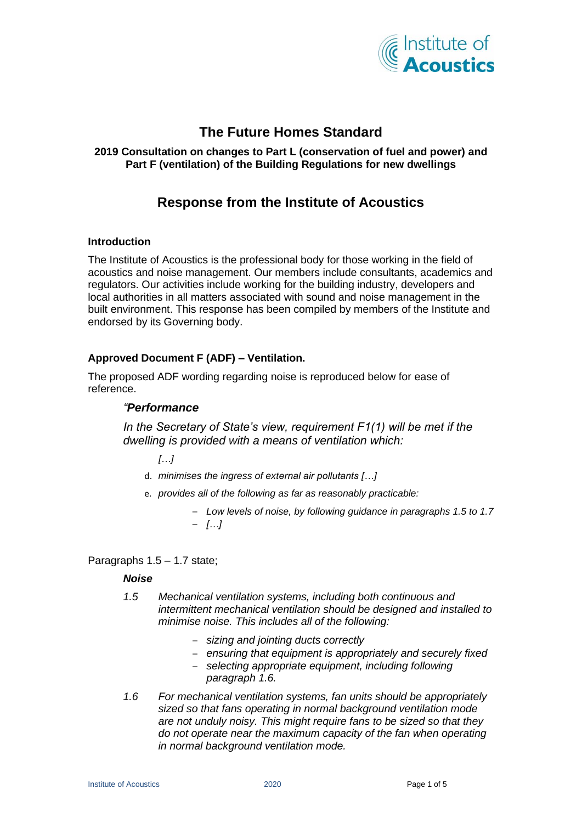

# **The Future Homes Standard**

## **2019 Consultation on changes to Part L (conservation of fuel and power) and Part F (ventilation) of the Building Regulations for new dwellings**

# **Response from the Institute of Acoustics**

### **Introduction**

The Institute of Acoustics is the professional body for those working in the field of acoustics and noise management. Our members include consultants, academics and regulators. Our activities include working for the building industry, developers and local authorities in all matters associated with sound and noise management in the built environment. This response has been compiled by members of the Institute and endorsed by its Governing body.

# **Approved Document F (ADF) – Ventilation.**

The proposed ADF wording regarding noise is reproduced below for ease of reference.

# *"Performance*

*In the Secretary of State's view, requirement F1(1) will be met if the dwelling is provided with a means of ventilation which:*

*[…]*

- d. *minimises the ingress of external air pollutants […]*
- e. *provides all of the following as far as reasonably practicable:*
	- *Low levels of noise, by following guidance in paragraphs 1.5 to 1.7* – *[…]*

Paragraphs 1.5 – 1.7 state;

## *Noise*

- *1.5 Mechanical ventilation systems, including both continuous and intermittent mechanical ventilation should be designed and installed to minimise noise. This includes all of the following:* 
	- *sizing and jointing ducts correctly*
	- *ensuring that equipment is appropriately and securely fixed*
	- *selecting appropriate equipment, including following paragraph 1.6.*
- *1.6 For mechanical ventilation systems, fan units should be appropriately sized so that fans operating in normal background ventilation mode are not unduly noisy. This might require fans to be sized so that they do not operate near the maximum capacity of the fan when operating in normal background ventilation mode.*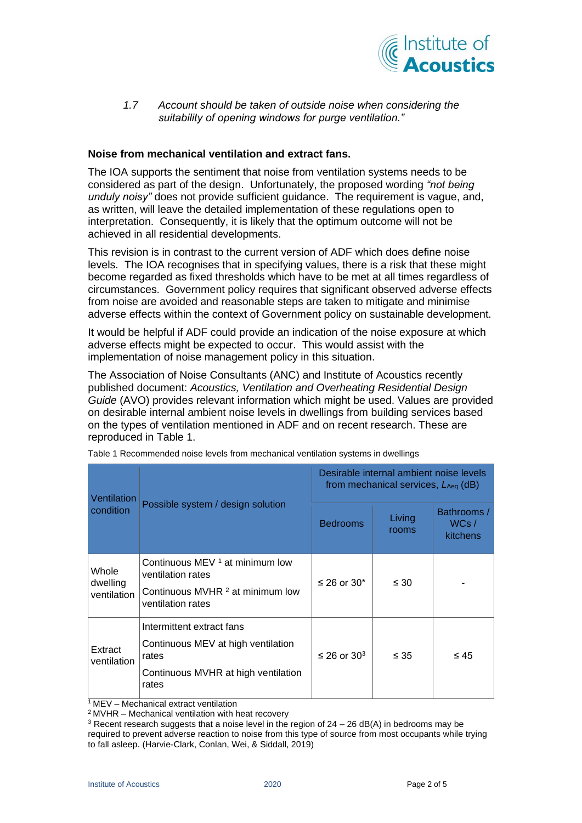

*1.7 Account should be taken of outside noise when considering the suitability of opening windows for purge ventilation."*

#### **Noise from mechanical ventilation and extract fans.**

The IOA supports the sentiment that noise from ventilation systems needs to be considered as part of the design. Unfortunately, the proposed wording *"not being unduly noisy"* does not provide sufficient guidance. The requirement is vague, and, as written, will leave the detailed implementation of these regulations open to interpretation. Consequently, it is likely that the optimum outcome will not be achieved in all residential developments.

This revision is in contrast to the current version of ADF which does define noise levels. The IOA recognises that in specifying values, there is a risk that these might become regarded as fixed thresholds which have to be met at all times regardless of circumstances. Government policy requires that significant observed adverse effects from noise are avoided and reasonable steps are taken to mitigate and minimise adverse effects within the context of Government policy on sustainable development.

It would be helpful if ADF could provide an indication of the noise exposure at which adverse effects might be expected to occur. This would assist with the implementation of noise management policy in this situation.

The Association of Noise Consultants (ANC) and Institute of Acoustics recently published document: *Acoustics, Ventilation and Overheating Residential Design Guide* (AVO) provides relevant information which might be used. Values are provided on desirable internal ambient noise levels in dwellings from building services based on the types of ventilation mentioned in ADF and on recent research. These are reproduced in [Table 1.](#page-1-0)

| Ventilation<br>condition         | Possible system / design solution                                                                                        | Desirable internal ambient noise levels<br>from mechanical services, $L_{Aeq}$ (dB) |                 |                                 |
|----------------------------------|--------------------------------------------------------------------------------------------------------------------------|-------------------------------------------------------------------------------------|-----------------|---------------------------------|
|                                  |                                                                                                                          | <b>Bedrooms</b>                                                                     | Living<br>rooms | Bathrooms /<br>WCs/<br>kitchens |
| Whole<br>dwelling<br>ventilation | Continuous MEV 1 at minimum low<br>ventilation rates<br>Continuous MVHR <sup>2</sup> at minimum low<br>ventilation rates | ≤ 26 or 30 $*$                                                                      | $\leq 30$       |                                 |
| Extract<br>ventilation           | Intermittent extract fans<br>Continuous MEV at high ventilation<br>rates<br>Continuous MVHR at high ventilation<br>rates | $\leq$ 26 or 30 <sup>3</sup>                                                        | $\leq 35$       | $\leq 45$                       |

<span id="page-1-0"></span>Table 1 Recommended noise levels from mechanical ventilation systems in dwellings

<sup>1</sup>MEV – Mechanical extract ventilation

<sup>2</sup>MVHR – Mechanical ventilation with heat recovery

<sup>&</sup>lt;sup>3</sup> Recent research suggests that a noise level in the region of  $24 - 26$  dB(A) in bedrooms may be required to prevent adverse reaction to noise from this type of source from most occupants while trying to fall asleep. (Harvie-Clark, Conlan, Wei, & Siddall, 2019)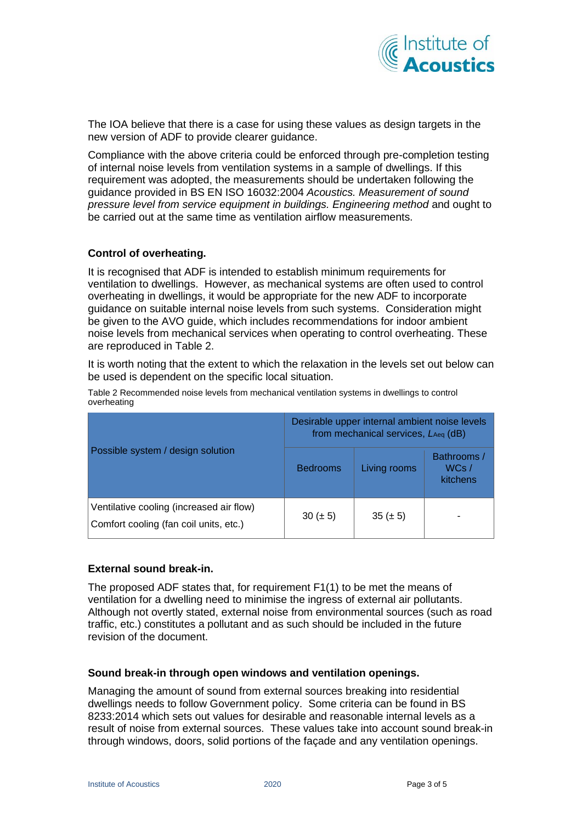

The IOA believe that there is a case for using these values as design targets in the new version of ADF to provide clearer guidance.

Compliance with the above criteria could be enforced through pre-completion testing of internal noise levels from ventilation systems in a sample of dwellings. If this requirement was adopted, the measurements should be undertaken following the guidance provided in BS EN ISO 16032:2004 *Acoustics. Measurement of sound pressure level from service equipment in buildings. Engineering method* and ought to be carried out at the same time as ventilation airflow measurements.

### **Control of overheating.**

It is recognised that ADF is intended to establish minimum requirements for ventilation to dwellings. However, as mechanical systems are often used to control overheating in dwellings, it would be appropriate for the new ADF to incorporate guidance on suitable internal noise levels from such systems. Consideration might be given to the AVO guide, which includes recommendations for indoor ambient noise levels from mechanical services when operating to control overheating. These are reproduced in [Table 2.](#page-2-0)

It is worth noting that the extent to which the relaxation in the levels set out below can be used is dependent on the specific local situation.

<span id="page-2-0"></span>

| Table 2 Recommended noise levels from mechanical ventilation systems in dwellings to control |  |
|----------------------------------------------------------------------------------------------|--|
| overheating                                                                                  |  |

|                                                                                    | Desirable upper internal ambient noise levels<br>from mechanical services, LAeq (dB) |               |                                 |  |
|------------------------------------------------------------------------------------|--------------------------------------------------------------------------------------|---------------|---------------------------------|--|
| Possible system / design solution                                                  | <b>Bedrooms</b>                                                                      | Living rooms  | Bathrooms /<br>WCs/<br>kitchens |  |
| Ventilative cooling (increased air flow)<br>Comfort cooling (fan coil units, etc.) | 30 ( $\pm$ 5)                                                                        | 35 ( $\pm$ 5) | -                               |  |

## **External sound break-in.**

The proposed ADF states that, for requirement F1(1) to be met the means of ventilation for a dwelling need to minimise the ingress of external air pollutants. Although not overtly stated, external noise from environmental sources (such as road traffic, etc.) constitutes a pollutant and as such should be included in the future revision of the document.

#### **Sound break-in through open windows and ventilation openings.**

Managing the amount of sound from external sources breaking into residential dwellings needs to follow Government policy. Some criteria can be found in BS 8233:2014 which sets out values for desirable and reasonable internal levels as a result of noise from external sources. These values take into account sound break-in through windows, doors, solid portions of the façade and any ventilation openings.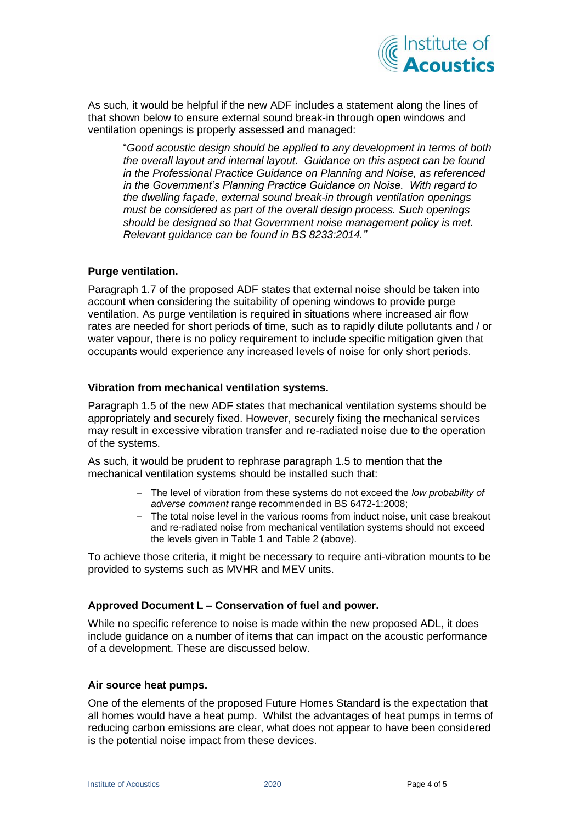

As such, it would be helpful if the new ADF includes a statement along the lines of that shown below to ensure external sound break-in through open windows and ventilation openings is properly assessed and managed:

"*Good acoustic design should be applied to any development in terms of both the overall layout and internal layout. Guidance on this aspect can be found in the Professional Practice Guidance on Planning and Noise, as referenced in the Government's Planning Practice Guidance on Noise. With regard to the dwelling façade, external sound break-in through ventilation openings must be considered as part of the overall design process. Such openings should be designed so that Government noise management policy is met. Relevant guidance can be found in BS 8233:2014."*

#### **Purge ventilation.**

Paragraph 1.7 of the proposed ADF states that external noise should be taken into account when considering the suitability of opening windows to provide purge ventilation. As purge ventilation is required in situations where increased air flow rates are needed for short periods of time, such as to rapidly dilute pollutants and / or water vapour, there is no policy requirement to include specific mitigation given that occupants would experience any increased levels of noise for only short periods.

# **Vibration from mechanical ventilation systems.**

Paragraph 1.5 of the new ADF states that mechanical ventilation systems should be appropriately and securely fixed. However, securely fixing the mechanical services may result in excessive vibration transfer and re-radiated noise due to the operation of the systems.

As such, it would be prudent to rephrase paragraph 1.5 to mention that the mechanical ventilation systems should be installed such that:

- The level of vibration from these systems do not exceed the *low probability of adverse comment* range recommended in BS 6472-1:2008;
- The total noise level in the various rooms from induct noise, unit case breakout and re-radiated noise from mechanical ventilation systems should not exceed the levels given in [Table 1](#page-1-0) and [Table 2](#page-2-0) (above).

To achieve those criteria, it might be necessary to require anti-vibration mounts to be provided to systems such as MVHR and MEV units.

## **Approved Document L – Conservation of fuel and power.**

While no specific reference to noise is made within the new proposed ADL, it does include guidance on a number of items that can impact on the acoustic performance of a development. These are discussed below.

#### **Air source heat pumps.**

One of the elements of the proposed Future Homes Standard is the expectation that all homes would have a heat pump. Whilst the advantages of heat pumps in terms of reducing carbon emissions are clear, what does not appear to have been considered is the potential noise impact from these devices.